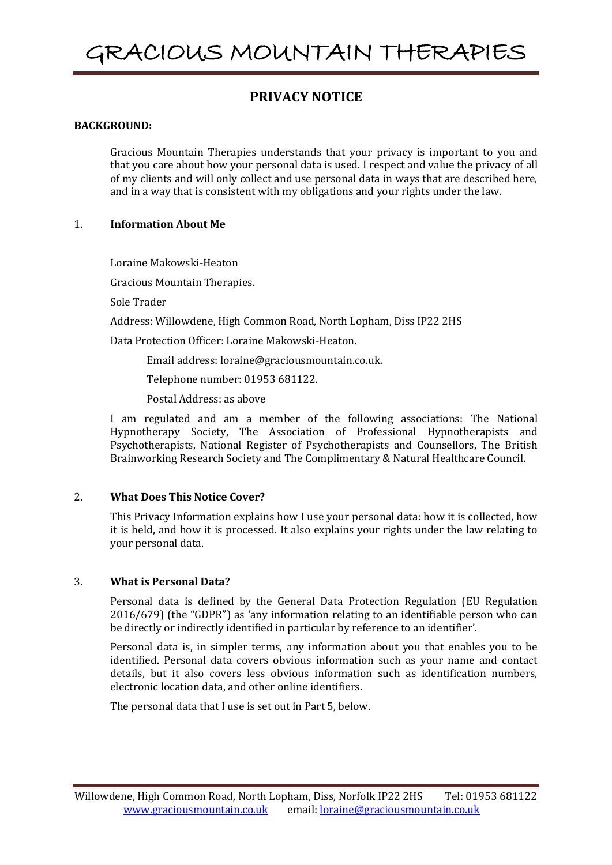# **PRIVACY NOTICE**

#### **BACKGROUND:**

Gracious Mountain Therapies understands that your privacy is important to you and that you care about how your personal data is used. I respect and value the privacy of all of my clients and will only collect and use personal data in ways that are described here, and in a way that is consistent with my obligations and your rights under the law.

## 1. **Information About Me**

Loraine Makowski-Heaton

Gracious Mountain Therapies.

Sole Trader

Address: Willowdene, High Common Road, North Lopham, Diss IP22 2HS

Data Protection Officer: Loraine Makowski-Heaton.

Email address: loraine@graciousmountain.co.uk.

Telephone number: 01953 681122.

Postal Address: as above

I am regulated and am a member of the following associations: The National Hypnotherapy Society, The Association of Professional Hypnotherapists and Psychotherapists, National Register of Psychotherapists and Counsellors, The British Brainworking Research Society and The Complimentary & Natural Healthcare Council.

#### 2. **What Does This Notice Cover?**

This Privacy Information explains how I use your personal data: how it is collected, how it is held, and how it is processed. It also explains your rights under the law relating to your personal data.

#### 3. **What is Personal Data?**

Personal data is defined by the General Data Protection Regulation (EU Regulation 2016/679) (the "GDPR") as 'any information relating to an identifiable person who can be directly or indirectly identified in particular by reference to an identifier'.

Personal data is, in simpler terms, any information about you that enables you to be identified. Personal data covers obvious information such as your name and contact details, but it also covers less obvious information such as identification numbers, electronic location data, and other online identifiers.

The personal data that I use is set out in Part 5, below.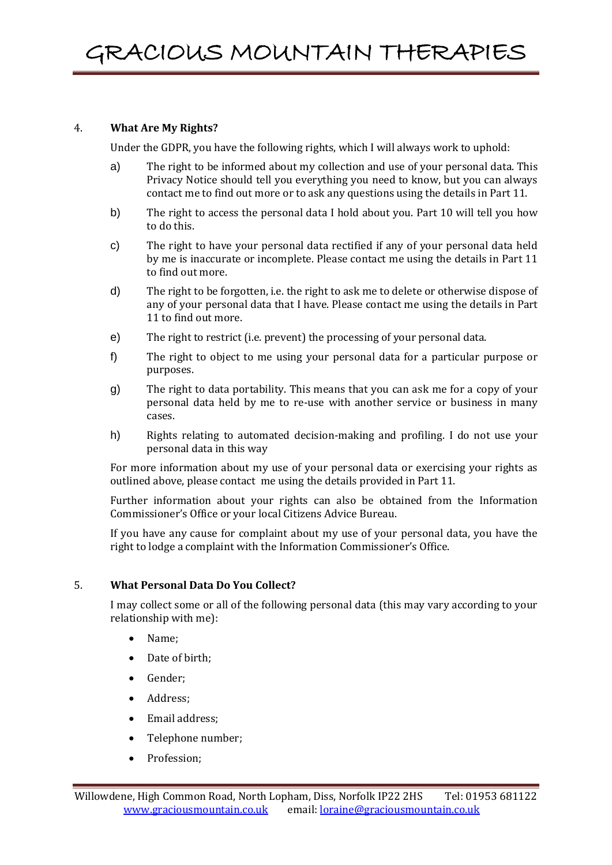## 4. **What Are My Rights?**

Under the GDPR, you have the following rights, which I will always work to uphold:

- a) The right to be informed about my collection and use of your personal data. This Privacy Notice should tell you everything you need to know, but you can always contact me to find out more or to ask any questions using the details in Part 11.
- b) The right to access the personal data I hold about you. Part 10 will tell you how to do this.
- c) The right to have your personal data rectified if any of your personal data held by me is inaccurate or incomplete. Please contact me using the details in Part 11 to find out more.
- d) The right to be forgotten, i.e. the right to ask me to delete or otherwise dispose of any of your personal data that I have. Please contact me using the details in Part 11 to find out more.
- e) The right to restrict (i.e. prevent) the processing of your personal data.
- f) The right to object to me using your personal data for a particular purpose or purposes.
- g) The right to data portability. This means that you can ask me for a copy of your personal data held by me to re-use with another service or business in many cases.
- h) Rights relating to automated decision-making and profiling. I do not use your personal data in this way

For more information about my use of your personal data or exercising your rights as outlined above, please contact me using the details provided in Part 11.

Further information about your rights can also be obtained from the Information Commissioner's Office or your local Citizens Advice Bureau.

If you have any cause for complaint about my use of your personal data, you have the right to lodge a complaint with the Information Commissioner's Office.

# 5. **What Personal Data Do You Collect?**

I may collect some or all of the following personal data (this may vary according to your relationship with me):

- Name:
- Date of birth;
- Gender;
- Address;
- Email address;
- Telephone number;
- Profession;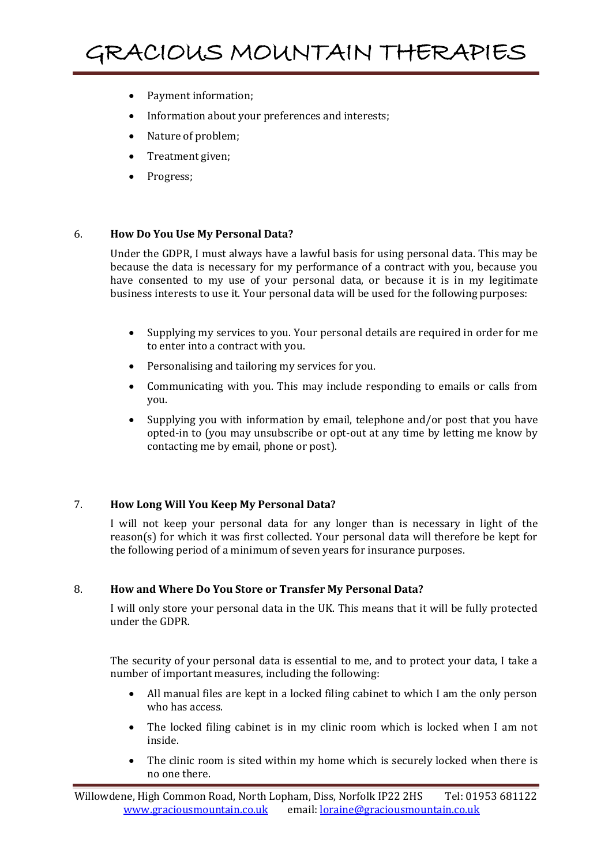- Payment information;
- Information about your preferences and interests;
- Nature of problem;
- Treatment given;
- Progress;

#### 6. **How Do You Use My Personal Data?**

Under the GDPR, I must always have a lawful basis for using personal data. This may be because the data is necessary for my performance of a contract with you, because you have consented to my use of your personal data, or because it is in my legitimate business interests to use it. Your personal data will be used for the following purposes:

- Supplying my services to you. Your personal details are required in order for me to enter into a contract with you.
- Personalising and tailoring my services for you.
- Communicating with you. This may include responding to emails or calls from you.
- Supplying you with information by email, telephone and/or post that you have opted-in to (you may unsubscribe or opt-out at any time by letting me know by contacting me by email, phone or post).

#### 7. **How Long Will You Keep My Personal Data?**

I will not keep your personal data for any longer than is necessary in light of the reason(s) for which it was first collected. Your personal data will therefore be kept for the following period of a minimum of seven years for insurance purposes.

#### 8. **How and Where Do You Store or Transfer My Personal Data?**

I will only store your personal data in the UK. This means that it will be fully protected under the GDPR.

The security of your personal data is essential to me, and to protect your data, I take a number of important measures, including the following:

- All manual files are kept in a locked filing cabinet to which I am the only person who has access.
- The locked filing cabinet is in my clinic room which is locked when I am not inside.
- The clinic room is sited within my home which is securely locked when there is no one there.

Willowdene, High Common Road, North Lopham, Diss, Norfolk IP22 2HS Tel: 01953 681122 [www.graciousmountain.co.uk](http://www.graciousmountain.co.uk/) email[: loraine@graciousmountain.co.uk](mailto:loraine@graciousmountain.co.uk)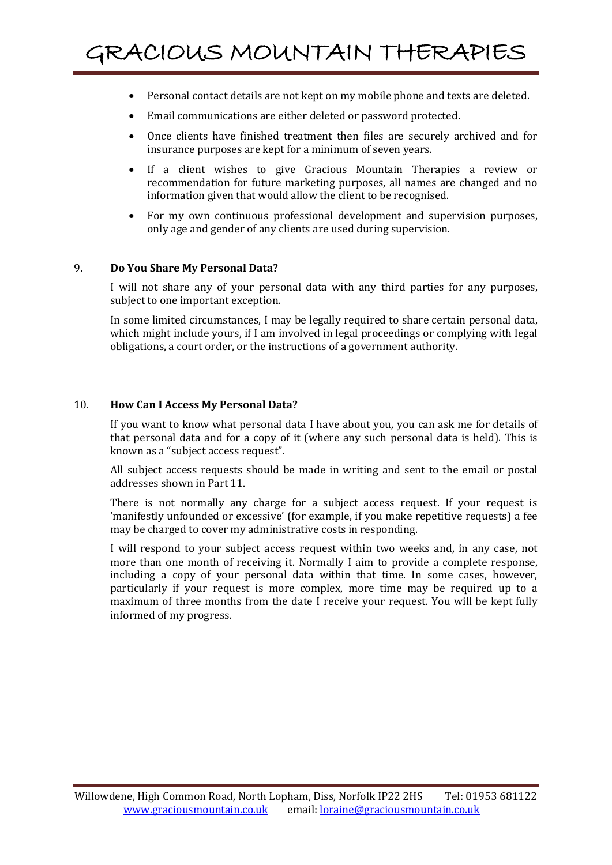- Personal contact details are not kept on my mobile phone and texts are deleted.
- Email communications are either deleted or password protected.
- Once clients have finished treatment then files are securely archived and for insurance purposes are kept for a minimum of seven years.
- If a client wishes to give Gracious Mountain Therapies a review or recommendation for future marketing purposes, all names are changed and no information given that would allow the client to be recognised.
- For my own continuous professional development and supervision purposes, only age and gender of any clients are used during supervision.

#### 9. **Do You Share My Personal Data?**

I will not share any of your personal data with any third parties for any purposes, subject to one important exception.

In some limited circumstances, I may be legally required to share certain personal data, which might include yours, if I am involved in legal proceedings or complying with legal obligations, a court order, or the instructions of a government authority.

#### 10. **How Can I Access My Personal Data?**

If you want to know what personal data I have about you, you can ask me for details of that personal data and for a copy of it (where any such personal data is held). This is known as a "subject access request".

All subject access requests should be made in writing and sent to the email or postal addresses shown in Part 11.

There is not normally any charge for a subject access request. If your request is 'manifestly unfounded or excessive' (for example, if you make repetitive requests) a fee may be charged to cover my administrative costs in responding.

I will respond to your subject access request within two weeks and, in any case, not more than one month of receiving it. Normally I aim to provide a complete response, including a copy of your personal data within that time. In some cases, however, particularly if your request is more complex, more time may be required up to a maximum of three months from the date I receive your request. You will be kept fully informed of my progress.